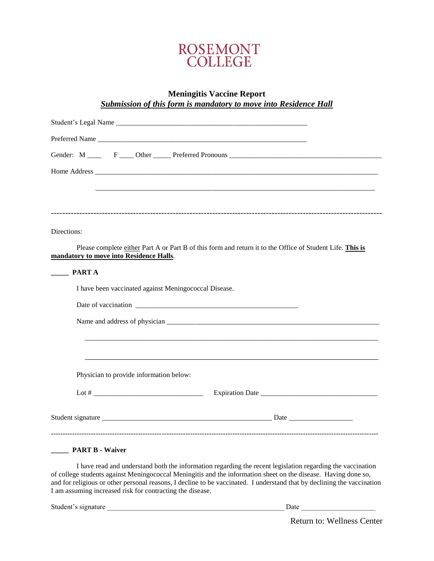

# **Meningitis Vaccine Report** *Submission of this form is mandatory to move into Residence Hall*

| Gender: M ______ F ____ Other _____ Preferred Pronouns __________________________                                                                                                                                            |
|------------------------------------------------------------------------------------------------------------------------------------------------------------------------------------------------------------------------------|
|                                                                                                                                                                                                                              |
|                                                                                                                                                                                                                              |
|                                                                                                                                                                                                                              |
|                                                                                                                                                                                                                              |
| Directions:                                                                                                                                                                                                                  |
| Please complete either Part A or Part B of this form and return it to the Office of Student Life. This is<br>mandatory to move into Residence Halls.                                                                         |
| <b>PART A</b>                                                                                                                                                                                                                |
| I have been vaccinated against Meningococcal Disease.                                                                                                                                                                        |
|                                                                                                                                                                                                                              |
|                                                                                                                                                                                                                              |
|                                                                                                                                                                                                                              |
|                                                                                                                                                                                                                              |
| Physician to provide information below:                                                                                                                                                                                      |
|                                                                                                                                                                                                                              |
|                                                                                                                                                                                                                              |
|                                                                                                                                                                                                                              |
|                                                                                                                                                                                                                              |
| <b>PART B - Waiver</b>                                                                                                                                                                                                       |
| I have read and understand both the information regarding the recent legislation regarding the vaccination<br>of college students against Meningococcal Meningitis and the information sheet on the disease. Having done so, |
| and for religious or other personal reasons, I decline to be vaccinated. I understand that by declining the vaccination                                                                                                      |

Student's signature \_\_\_\_\_\_\_\_\_\_\_\_\_\_\_\_\_\_\_\_\_\_\_\_\_\_\_\_\_\_\_\_\_\_\_\_\_\_\_\_\_\_\_\_\_\_\_\_\_\_ Date \_\_\_\_\_\_\_\_\_\_\_\_\_\_\_\_\_\_\_\_\_

I am assuming increased risk for contracting the disease.

Return to: Wellness Center